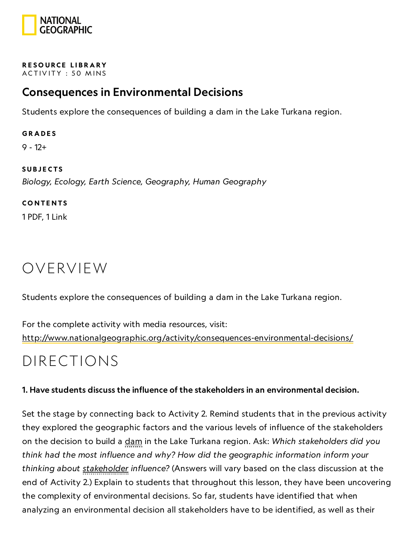

#### RESOURCE LIBRA[RY](https://www.nationalgeographic.org/education/resource-library/) ACTIVITY: 50 MINS

## Consequences in Environmental Decisions

Students explore the consequences of building a dam in the Lake Turkana region.

#### **GRADES**

9 - 12+

#### **SUBJECTS**

Biology, Ecology, Earth Science, Geography, Human Geography

#### **CONTENTS**

1 PDF, 1 Link

## OVERVIEW

Students explore the consequences of building a dam in the Lake Turkana region.

For the complete activity with media resources, visit: <http://www.nationalgeographic.org/activity/consequences-environmental-decisions/>

## DIRECTIONS

### 1. Have students discuss the influence of the stakeholders in an environmental decision.

Set the stage by connecting back to Activity 2. Remind students that in the previous activity they explored the geographic factors and the various levels of influence of the stakeholders on the decision to build a dam in the Lake Turkana region. Ask: Which stakeholders did you think had the most influence and why? How did the geographic information inform your thinking about stakeholder influence? (Answers will vary based on the class discussion at the end of Activity 2.) Explain to students that throughout this lesson, they have been uncovering the complexity of environmental decisions. So far, students have identified that when analyzing an environmental decision all stakeholders have to be identified, as well as their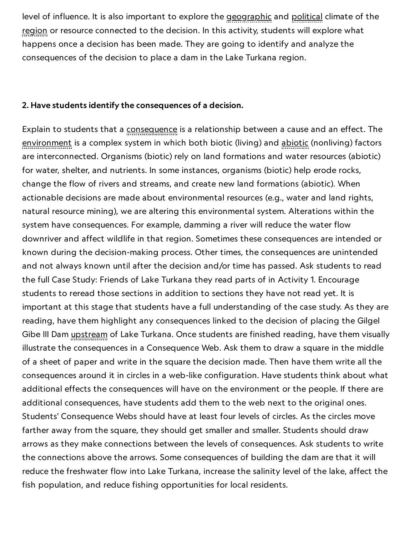level of influence. It is also important to explore the geographic and political climate of the region or resource connected to the decision. In this activity, students will explore what happens once a decision has been made. They are going to identify and analyze the consequences of the decision to place a dam in the Lake Turkana region.

#### 2. Have students identify the consequences of a decision.

Explain to students that a consequence is a relationship between a cause and an effect. The environment is a complex system in which both biotic (living) and abiotic (nonliving) factors are interconnected. Organisms (biotic) rely on land formations and water resources (abiotic) for water, shelter, and nutrients. In some instances, organisms (biotic) help erode rocks, change the flow of rivers and streams, and create new land formations (abiotic). When actionable decisions are made about environmental resources (e.g., water and land rights, natural resource mining), we are altering this environmental system. Alterations within the system have consequences. For example, damming a river will reduce the water flow downriver and affect wildlife in that region. Sometimes these consequences are intended or known during the decision-making process. Other times, the consequences are unintended and not always known until after the decision and/or time has passed. Ask students to read the full Case Study: Friends of Lake Turkana they read parts of in Activity 1. Encourage students to reread those sections in addition to sections they have not read yet. It is important at this stage that students have a full understanding of the case study. As they are reading, have them highlight any consequences linked to the decision of placing the Gilgel Gibe III Dam *upstream* of Lake Turkana. Once students are finished reading, have them visually illustrate the consequences in a Consequence Web. Ask them to draw a square in the middle of a sheet of paper and write in the square the decision made. Then have them write all the consequences around it in circles in a web-like configuration. Have students think about what additional effects the consequences will have on the environment or the people. If there are additional consequences, have students add them to the web next to the original ones. Students' Consequence Webs should have at least four levels of circles. As the circles move farther away from the square, they should get smaller and smaller. Students should draw arrows as they make connections between the levels of consequences. Ask students to write the connections above the arrows. Some consequences of building the dam are that it will reduce the freshwater flow into Lake Turkana, increase the salinity level of the lake, affect the fish population, and reduce fishing opportunities for local residents.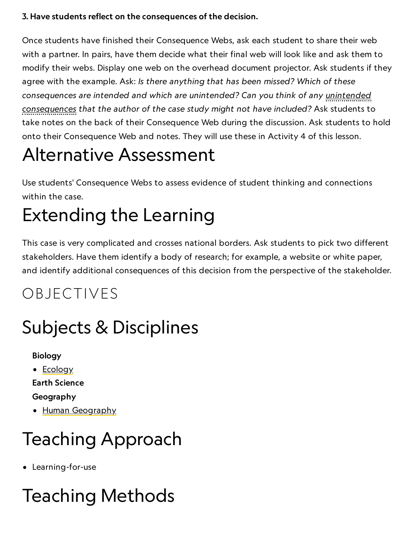### 3. Have students reflect on the consequences of the decision.

Once students have finished their Consequence Webs, ask each student to share their web with a partner. In pairs, have them decide what their final web will look like and ask them to modify their webs. Display one web on the overhead document projector. Ask students if they agree with the example. Ask: Is there anything that has been missed? Which of these consequences are intended and which are unintended? Can you think of any unintended consequences that the author of the case study might not have included? Ask students to take notes on the back of their Consequence Web during the discussion. Ask students to hold onto their Consequence Web and notes. They will use these in Activity 4 of this lesson.

# Alternative Assessment

Use students' Consequence Webs to assess evidence of student thinking and connections within the case.

# Extending the Learning

This case is very complicated and crosses national borders. Ask students to pick two different stakeholders. Have them identify a body of research; for example, a website or white paper, and identify additional consequences of this decision from the perspective of the stakeholder.

# OBJECTIVES

# Subjects & Disciplines

Biology

• [Ecology](http://education.nationalgeographic.com/education/encyclopedia/ecology/?ar_a=1)

Earth Science

Geography

• Human [Geography](https://www.nationalgeographic.org/encyclopedia/geography/)

# Teaching Approach

Learning-for-use

# Teaching Methods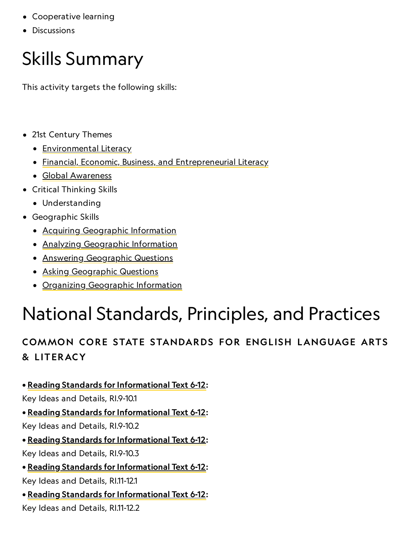- Cooperative learning
- Discussions

# Skills Summary

This activity targets the following skills:

- 21st Century Themes
	- [Environmental](http://www.p21.org/index.php?option=com_content&task=view&id=830&Itemid=120) Literacy
	- [Financial, Economic, Business, and](http://www.p21.org/index.php?option=com_content&task=view&id=257&Itemid=120) Entrepreneurial Literacy
	- Global [Awareness](http://www.p21.org/index.php?option=com_content&task=view&id=256&Itemid=120)
- Critical Thinking Skills
	- Understanding
- Geographic Skills
	- Acquiring [Geographic](https://www.nationalgeographic.org/geographic-skills/2/) Information
	- Analyzing [Geographic](http://education.nationalgeographic.com/education/geographic-skills/4/?ar_a=1) Information
	- Answering [Geographic](http://education.nationalgeographic.com/education/geographic-skills/5/?ar_a=1) Questions
	- Asking [Geographic](http://education.nationalgeographic.com/education/geographic-skills/1/?ar_a=1) Questions
	- Organizing [Geographic](http://education.nationalgeographic.com/education/geographic-skills/3/?ar_a=1) Information

# National Standards, Principles, and Practices

## COMMON CORE STATE STANDARDS FOR ENGLISH LANGUAGE ARTS & L ITERACY

### • Reading Standards for [Informational](http://www.corestandards.org/ELA-Literacy/RI/9-10) Text 6-12:

Key Ideas and Details, RI.9-10.1

• Reading Standards for [Informational](http://www.corestandards.org/ELA-Literacy/RI/9-10) Text 6-12:

Key Ideas and Details, RI.9-10.2

• Reading Standards for [Informational](http://www.corestandards.org/ELA-Literacy/RI/9-10) Text 6-12: Key Ideas and Details, RI.9-10.3

• Reading Standards for [Informational](http://www.corestandards.org/ELA-Literacy/RI/11-12) Text 6-12:

Key Ideas and Details, RI.11-12.1

• Reading Standards for [Informational](http://www.corestandards.org/ELA-Literacy/RI/11-12) Text 6-12:

Key Ideas and Details, RI.11-12.2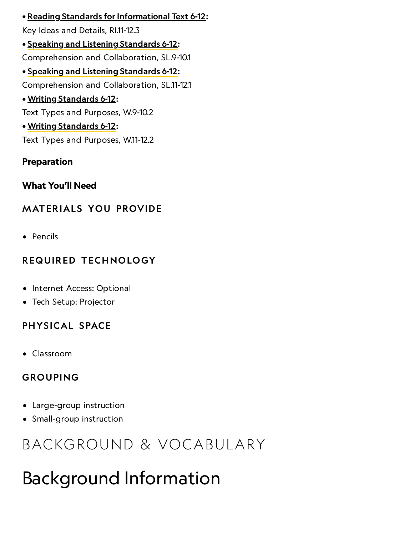• Reading Standards for [Informational](http://www.corestandards.org/ELA-Literacy/RI/11-12) Text 6-12: Key Ideas and Details, RI.11-12.3 • Speaking and Listening [Standards](http://www.corestandards.org/ELA-Literacy/SL/9-10/#CCSS.ELA-Literacy.SL.9-10.1) 6-12: Comprehension and Collaboration, SL.9-10.1 • Speaking and Listening [Standards](http://www.corestandards.org/ELA-Literacy/SL/11-12/#CCSS.ELA-Literacy.SL.11-12.1) 6-12: Comprehension and Collaboration, SL.11-12.1 • Writing [Standards](http://www.corestandards.org/ELA-Literacy/W/9-10) 6-12: Text Types and Purposes, W.9-10.2 • Writing [Standards](http://www.corestandards.org/ELA-Literacy/W/11-12) 6-12: Text Types and Purposes, W.11-12.2

### Preparation

What You'll Need

### **MATERIALS YOU PROVIDE**

• Pencils

### REQUIRED TECHNOLOGY

- Internet Access: Optional
- Tech Setup: Projector

### PHYSICAL SPACE

Classroom

### GROUPING

- Large-group instruction
- Small-group instruction

# BACKGROUND & VOCABULARY

# Background Information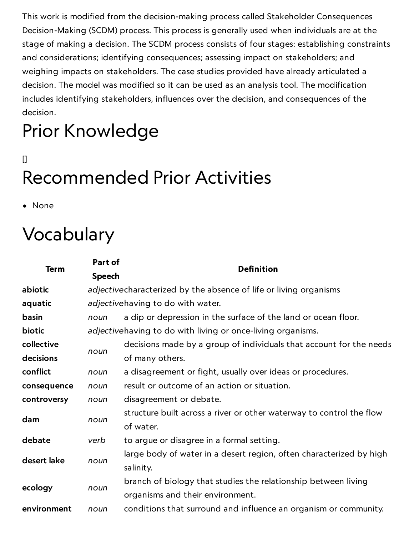This work is modified from the decision-making process called Stakeholder Consequences Decision-Making (SCDM) process. This process is generally used when individuals are at the stage of making a decision. The SCDM process consists of four stages: establishing constraints and considerations; identifying consequences; assessing impact on stakeholders; and weighing impacts on stakeholders. The case studies provided have already articulated a decision. The model was modified so it can be used as an analysis tool. The modification includes identifying stakeholders, influences over the decision, and consequences of the decision.

# Prior Knowledge

# $\Box$ Recommended Prior Activities

• None

# Vocabulary

| <b>Term</b> | Part of                                                     | <b>Definition</b>                                                    |
|-------------|-------------------------------------------------------------|----------------------------------------------------------------------|
|             | <b>Speech</b>                                               |                                                                      |
| abiotic     |                                                             | adjectivecharacterized by the absence of life or living organisms    |
| aquatic     | adjectivehaving to do with water.                           |                                                                      |
| basin       | noun                                                        | a dip or depression in the surface of the land or ocean floor.       |
| biotic      | adjectivehaving to do with living or once-living organisms. |                                                                      |
| collective  | noun                                                        | decisions made by a group of individuals that account for the needs  |
| decisions   |                                                             | of many others.                                                      |
| conflict    | noun                                                        | a disagreement or fight, usually over ideas or procedures.           |
| consequence | noun                                                        | result or outcome of an action or situation.                         |
| controversy | noun                                                        | disagreement or debate.                                              |
| dam         | noun                                                        | structure built across a river or other waterway to control the flow |
|             |                                                             | of water.                                                            |
| debate      | verb                                                        | to argue or disagree in a formal setting.                            |
| desert lake | noun                                                        | large body of water in a desert region, often characterized by high  |
|             |                                                             | salinity.                                                            |
| ecology     | noun                                                        | branch of biology that studies the relationship between living       |
|             |                                                             | organisms and their environment.                                     |
| environment | noun                                                        | conditions that surround and influence an organism or community.     |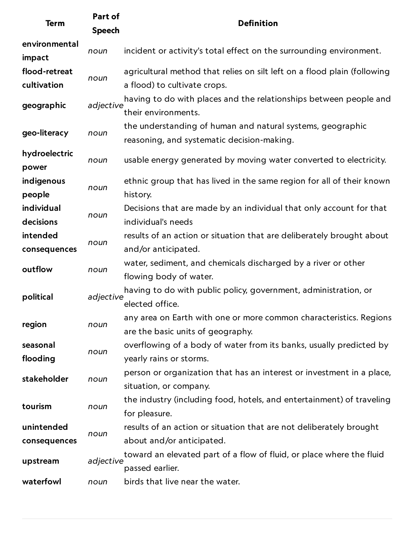| <b>Term</b>                  | Part of<br><b>Speech</b> | <b>Definition</b>                                                                                        |
|------------------------------|--------------------------|----------------------------------------------------------------------------------------------------------|
| environmental<br>impact      | noun                     | incident or activity's total effect on the surrounding environment.                                      |
| flood-retreat<br>cultivation | noun                     | agricultural method that relies on silt left on a flood plain (following<br>a flood) to cultivate crops. |
| geographic                   | adjective                | having to do with places and the relationships between people and<br>their environments.                 |
| geo-literacy                 | noun                     | the understanding of human and natural systems, geographic<br>reasoning, and systematic decision-making. |
| hydroelectric<br>power       | noun                     | usable energy generated by moving water converted to electricity.                                        |
| indigenous<br>people         | noun                     | ethnic group that has lived in the same region for all of their known<br>history.                        |
| individual<br>decisions      | noun                     | Decisions that are made by an individual that only account for that<br>individual's needs                |
| intended<br>consequences     | noun                     | results of an action or situation that are deliberately brought about<br>and/or anticipated.             |
| outflow                      | noun                     | water, sediment, and chemicals discharged by a river or other<br>flowing body of water.                  |
| political                    | adjective                | having to do with public policy, government, administration, or<br>elected office.                       |
| region                       | noun                     | any area on Earth with one or more common characteristics. Regions<br>are the basic units of geography.  |
| seasonal<br>flooding         | noun                     | overflowing of a body of water from its banks, usually predicted by<br>yearly rains or storms.           |
| stakeholder                  | noun                     | person or organization that has an interest or investment in a place,<br>situation, or company.          |
| tourism                      | noun                     | the industry (including food, hotels, and entertainment) of traveling<br>for pleasure.                   |
| unintended<br>consequences   | noun                     | results of an action or situation that are not deliberately brought<br>about and/or anticipated.         |
| upstream                     | adjective                | toward an elevated part of a flow of fluid, or place where the fluid<br>passed earlier.                  |
| waterfowl                    | noun                     | birds that live near the water.                                                                          |